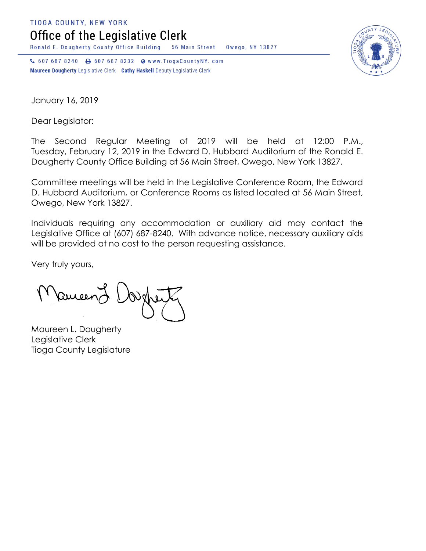**TIOGA COUNTY, NEW YORK** 

Office of the Legislative Clerk

Ronald E. Dougherty County Office Building 56 Main Street Owego, NY 13827

↓ 607 687 8240 → 607 687 8232 → www.TiogaCountyNY.com Maureen Dougherty Legislative Clerk Cathy Haskell Deputy Legislative Clerk



January 16, 2019

Dear Legislator:

The Second Regular Meeting of 2019 will be held at 12:00 P.M., Tuesday, February 12, 2019 in the Edward D. Hubbard Auditorium of the Ronald E. Dougherty County Office Building at 56 Main Street, Owego, New York 13827.

Committee meetings will be held in the Legislative Conference Room, the Edward D. Hubbard Auditorium, or Conference Rooms as listed located at 56 Main Street, Owego, New York 13827.

Individuals requiring any accommodation or auxiliary aid may contact the Legislative Office at (607) 687-8240. With advance notice, necessary auxiliary aids will be provided at no cost to the person requesting assistance.

Very truly yours,

Ruicen

Maureen L. Dougherty Legislative Clerk Tioga County Legislature